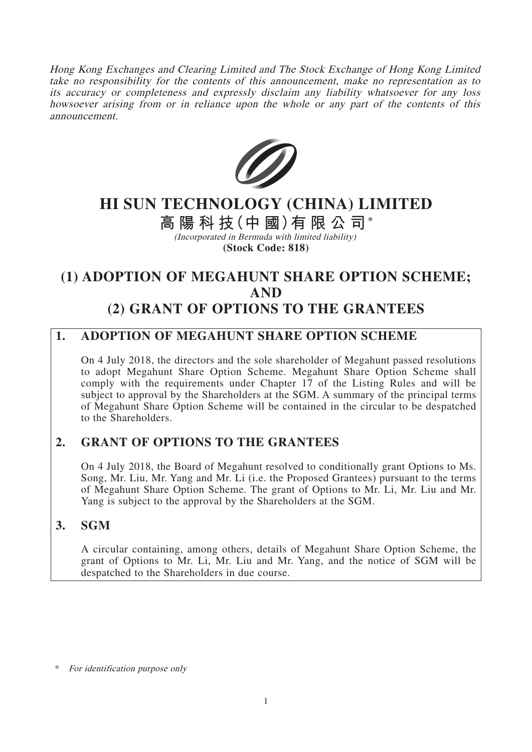Hong Kong Exchanges and Clearing Limited and The Stock Exchange of Hong Kong Limited take no responsibility for the contents of this announcement, make no representation as to its accuracy or completeness and expressly disclaim any liability whatsoever for any loss howsoever arising from or in reliance upon the whole or any part of the contents of this announcement.



# **HI SUN TECHNOLOGY (CHINA) LIMITED**

# **高陽科技(中 國)有限公司\***

(Incorporated in Bermuda with limited liability) **(Stock Code: 818)**

# **(1) ADOPTION OF MEGAHUNT SHARE OPTION SCHEME; AND (2) GRANT OF OPTIONS TO THE GRANTEES**

## **1. ADOPTION OF MEGAHUNT SHARE OPTION SCHEME**

On 4 July 2018, the directors and the sole shareholder of Megahunt passed resolutions to adopt Megahunt Share Option Scheme. Megahunt Share Option Scheme shall comply with the requirements under Chapter 17 of the Listing Rules and will be subject to approval by the Shareholders at the SGM. A summary of the principal terms of Megahunt Share Option Scheme will be contained in the circular to be despatched to the Shareholders.

## **2. GRANT OF OPTIONS TO THE GRANTEES**

On 4 July 2018, the Board of Megahunt resolved to conditionally grant Options to Ms. Song, Mr. Liu, Mr. Yang and Mr. Li (i.e. the Proposed Grantees) pursuant to the terms of Megahunt Share Option Scheme. The grant of Options to Mr. Li, Mr. Liu and Mr. Yang is subject to the approval by the Shareholders at the SGM.

## **3. SGM**

A circular containing, among others, details of Megahunt Share Option Scheme, the grant of Options to Mr. Li, Mr. Liu and Mr. Yang, and the notice of SGM will be despatched to the Shareholders in due course.

For identification purpose only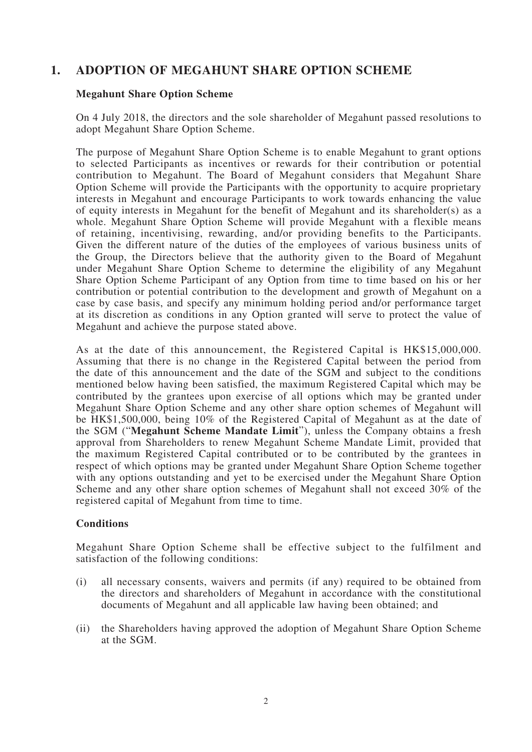### **1. ADOPTION OF MEGAHUNT SHARE OPTION SCHEME**

#### **Megahunt Share Option Scheme**

On 4 July 2018, the directors and the sole shareholder of Megahunt passed resolutions to adopt Megahunt Share Option Scheme.

The purpose of Megahunt Share Option Scheme is to enable Megahunt to grant options to selected Participants as incentives or rewards for their contribution or potential contribution to Megahunt. The Board of Megahunt considers that Megahunt Share Option Scheme will provide the Participants with the opportunity to acquire proprietary interests in Megahunt and encourage Participants to work towards enhancing the value of equity interests in Megahunt for the benefit of Megahunt and its shareholder(s) as a whole. Megahunt Share Option Scheme will provide Megahunt with a flexible means of retaining, incentivising, rewarding, and/or providing benefits to the Participants. Given the different nature of the duties of the employees of various business units of the Group, the Directors believe that the authority given to the Board of Megahunt under Megahunt Share Option Scheme to determine the eligibility of any Megahunt Share Option Scheme Participant of any Option from time to time based on his or her contribution or potential contribution to the development and growth of Megahunt on a case by case basis, and specify any minimum holding period and/or performance target at its discretion as conditions in any Option granted will serve to protect the value of Megahunt and achieve the purpose stated above.

As at the date of this announcement, the Registered Capital is HK\$15,000,000. Assuming that there is no change in the Registered Capital between the period from the date of this announcement and the date of the SGM and subject to the conditions mentioned below having been satisfied, the maximum Registered Capital which may be contributed by the grantees upon exercise of all options which may be granted under Megahunt Share Option Scheme and any other share option schemes of Megahunt will be HK\$1,500,000, being 10% of the Registered Capital of Megahunt as at the date of the SGM ("**Megahunt Scheme Mandate Limit**"), unless the Company obtains a fresh approval from Shareholders to renew Megahunt Scheme Mandate Limit, provided that the maximum Registered Capital contributed or to be contributed by the grantees in respect of which options may be granted under Megahunt Share Option Scheme together with any options outstanding and yet to be exercised under the Megahunt Share Option Scheme and any other share option schemes of Megahunt shall not exceed 30% of the registered capital of Megahunt from time to time.

#### **Conditions**

Megahunt Share Option Scheme shall be effective subject to the fulfilment and satisfaction of the following conditions:

- (i) all necessary consents, waivers and permits (if any) required to be obtained from the directors and shareholders of Megahunt in accordance with the constitutional documents of Megahunt and all applicable law having been obtained; and
- (ii) the Shareholders having approved the adoption of Megahunt Share Option Scheme at the SGM.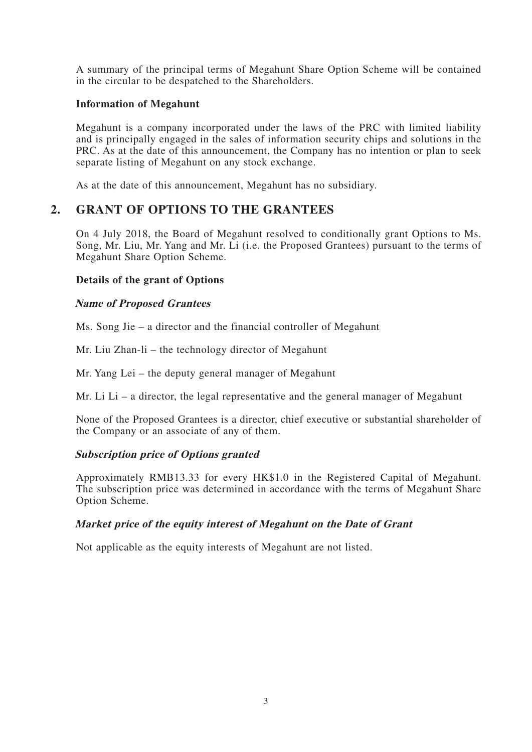A summary of the principal terms of Megahunt Share Option Scheme will be contained in the circular to be despatched to the Shareholders.

#### **Information of Megahunt**

Megahunt is a company incorporated under the laws of the PRC with limited liability and is principally engaged in the sales of information security chips and solutions in the PRC. As at the date of this announcement, the Company has no intention or plan to seek separate listing of Megahunt on any stock exchange.

As at the date of this announcement, Megahunt has no subsidiary.

### **2. GRANT OF OPTIONS TO THE GRANTEES**

On 4 July 2018, the Board of Megahunt resolved to conditionally grant Options to Ms. Song, Mr. Liu, Mr. Yang and Mr. Li (i.e. the Proposed Grantees) pursuant to the terms of Megahunt Share Option Scheme.

#### **Details of the grant of Options**

#### **Name of Proposed Grantees**

Ms. Song Jie – a director and the financial controller of Megahunt

Mr. Liu Zhan-li – the technology director of Megahunt

Mr. Yang Lei – the deputy general manager of Megahunt

Mr. Li  $Li - a$  director, the legal representative and the general manager of Megahunt

None of the Proposed Grantees is a director, chief executive or substantial shareholder of the Company or an associate of any of them.

#### **Subscription price of Options granted**

Approximately RMB13.33 for every HK\$1.0 in the Registered Capital of Megahunt. The subscription price was determined in accordance with the terms of Megahunt Share Option Scheme.

#### **Market price of the equity interest of Megahunt on the Date of Grant**

Not applicable as the equity interests of Megahunt are not listed.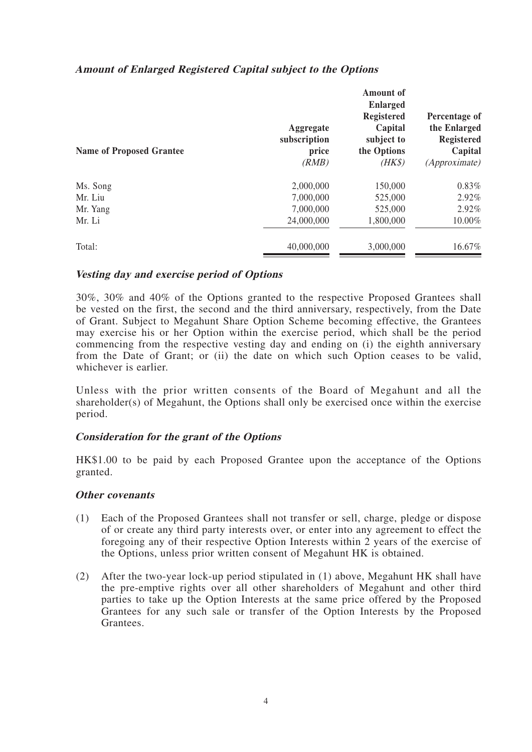|  |  |  |  |  | <b>Amount of Enlarged Registered Capital subject to the Options</b> |
|--|--|--|--|--|---------------------------------------------------------------------|
|--|--|--|--|--|---------------------------------------------------------------------|

| <b>Name of Proposed Grantee</b> | Aggregate<br>subscription<br>price<br>(RMB) | <b>Amount</b> of<br><b>Enlarged</b><br><b>Registered</b><br>Capital<br>subject to<br>the Options<br>$(HK\$ | Percentage of<br>the Enlarged<br><b>Registered</b><br>Capital<br>(Approximate) |
|---------------------------------|---------------------------------------------|------------------------------------------------------------------------------------------------------------|--------------------------------------------------------------------------------|
| Ms. Song                        | 2,000,000                                   | 150,000                                                                                                    | $0.83\%$                                                                       |
| Mr. Liu                         | 7,000,000                                   | 525,000                                                                                                    | 2.92%                                                                          |
| Mr. Yang                        | 7,000,000                                   | 525,000                                                                                                    | 2.92%                                                                          |
| Mr. Li                          | 24,000,000                                  | 1,800,000                                                                                                  | 10.00%                                                                         |
| Total:                          | 40,000,000                                  | 3,000,000                                                                                                  | 16.67%                                                                         |

#### **Vesting day and exercise period of Options**

30%, 30% and 40% of the Options granted to the respective Proposed Grantees shall be vested on the first, the second and the third anniversary, respectively, from the Date of Grant. Subject to Megahunt Share Option Scheme becoming effective, the Grantees may exercise his or her Option within the exercise period, which shall be the period commencing from the respective vesting day and ending on (i) the eighth anniversary from the Date of Grant; or (ii) the date on which such Option ceases to be valid, whichever is earlier.

Unless with the prior written consents of the Board of Megahunt and all the shareholder(s) of Megahunt, the Options shall only be exercised once within the exercise period.

#### **Consideration for the grant of the Options**

HK\$1.00 to be paid by each Proposed Grantee upon the acceptance of the Options granted.

#### **Other covenants**

- (1) Each of the Proposed Grantees shall not transfer or sell, charge, pledge or dispose of or create any third party interests over, or enter into any agreement to effect the foregoing any of their respective Option Interests within 2 years of the exercise of the Options, unless prior written consent of Megahunt HK is obtained.
- (2) After the two-year lock-up period stipulated in (1) above, Megahunt HK shall have the pre-emptive rights over all other shareholders of Megahunt and other third parties to take up the Option Interests at the same price offered by the Proposed Grantees for any such sale or transfer of the Option Interests by the Proposed Grantees.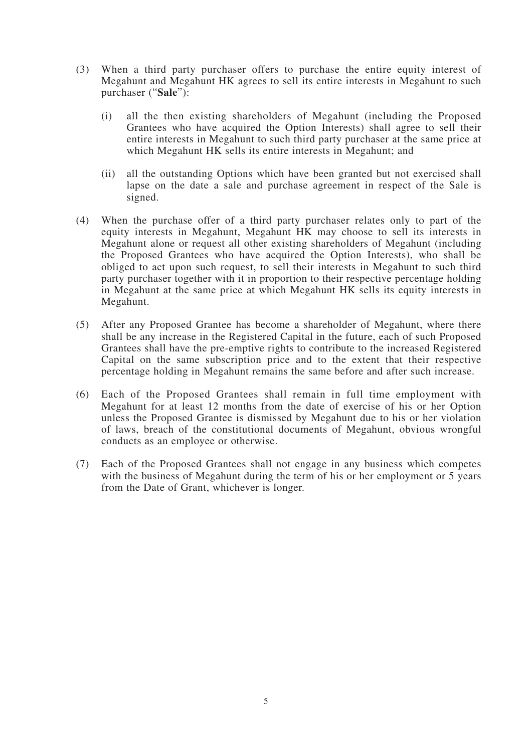- (3) When a third party purchaser offers to purchase the entire equity interest of Megahunt and Megahunt HK agrees to sell its entire interests in Megahunt to such purchaser ("**Sale**"):
	- (i) all the then existing shareholders of Megahunt (including the Proposed Grantees who have acquired the Option Interests) shall agree to sell their entire interests in Megahunt to such third party purchaser at the same price at which Megahunt HK sells its entire interests in Megahunt; and
	- (ii) all the outstanding Options which have been granted but not exercised shall lapse on the date a sale and purchase agreement in respect of the Sale is signed.
- (4) When the purchase offer of a third party purchaser relates only to part of the equity interests in Megahunt, Megahunt HK may choose to sell its interests in Megahunt alone or request all other existing shareholders of Megahunt (including the Proposed Grantees who have acquired the Option Interests), who shall be obliged to act upon such request, to sell their interests in Megahunt to such third party purchaser together with it in proportion to their respective percentage holding in Megahunt at the same price at which Megahunt HK sells its equity interests in Megahunt.
- (5) After any Proposed Grantee has become a shareholder of Megahunt, where there shall be any increase in the Registered Capital in the future, each of such Proposed Grantees shall have the pre-emptive rights to contribute to the increased Registered Capital on the same subscription price and to the extent that their respective percentage holding in Megahunt remains the same before and after such increase.
- (6) Each of the Proposed Grantees shall remain in full time employment with Megahunt for at least 12 months from the date of exercise of his or her Option unless the Proposed Grantee is dismissed by Megahunt due to his or her violation of laws, breach of the constitutional documents of Megahunt, obvious wrongful conducts as an employee or otherwise.
- (7) Each of the Proposed Grantees shall not engage in any business which competes with the business of Megahunt during the term of his or her employment or 5 years from the Date of Grant, whichever is longer.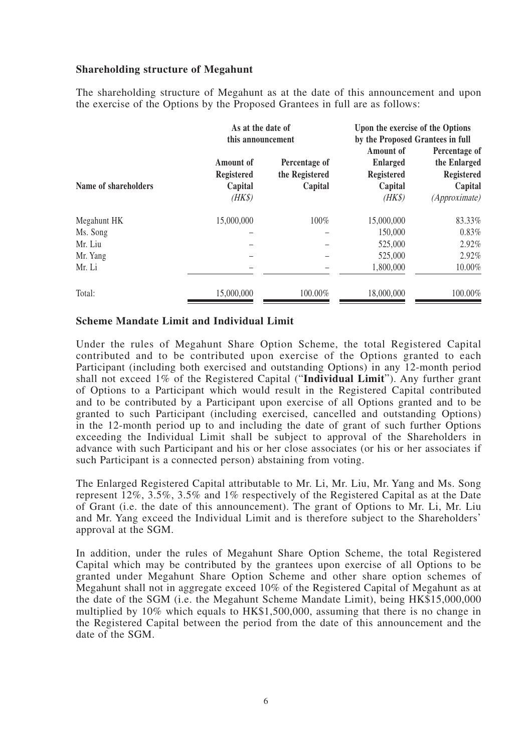#### **Shareholding structure of Megahunt**

The shareholding structure of Megahunt as at the date of this announcement and upon the exercise of the Options by the Proposed Grantees in full are as follows:

|                      | As at the date of<br>this announcement              |                                            | Upon the exercise of the Options<br>by the Proposed Grantees in full   |                                                                                |
|----------------------|-----------------------------------------------------|--------------------------------------------|------------------------------------------------------------------------|--------------------------------------------------------------------------------|
| Name of shareholders | Amount of<br><b>Registered</b><br>Capital<br>$(HK\$ | Percentage of<br>the Registered<br>Capital | Amount of<br><b>Enlarged</b><br><b>Registered</b><br>Capital<br>$(HK\$ | Percentage of<br>the Enlarged<br><b>Registered</b><br>Capital<br>(Approximate) |
| Megahunt HK          | 15,000,000                                          | 100%                                       | 15,000,000                                                             | 83.33%                                                                         |
| Ms. Song             |                                                     |                                            | 150,000                                                                | 0.83%                                                                          |
| Mr. Liu              |                                                     |                                            | 525,000                                                                | 2.92%                                                                          |
| Mr. Yang             |                                                     |                                            | 525,000                                                                | 2.92%                                                                          |
| Mr. Li               |                                                     |                                            | 1,800,000                                                              | 10.00%                                                                         |
| Total:               | 15,000,000                                          | 100.00%                                    | 18,000,000                                                             | 100.00%                                                                        |

#### **Scheme Mandate Limit and Individual Limit**

Under the rules of Megahunt Share Option Scheme, the total Registered Capital contributed and to be contributed upon exercise of the Options granted to each Participant (including both exercised and outstanding Options) in any 12-month period shall not exceed 1% of the Registered Capital ("**Individual Limit**"). Any further grant of Options to a Participant which would result in the Registered Capital contributed and to be contributed by a Participant upon exercise of all Options granted and to be granted to such Participant (including exercised, cancelled and outstanding Options) in the 12-month period up to and including the date of grant of such further Options exceeding the Individual Limit shall be subject to approval of the Shareholders in advance with such Participant and his or her close associates (or his or her associates if such Participant is a connected person) abstaining from voting.

The Enlarged Registered Capital attributable to Mr. Li, Mr. Liu, Mr. Yang and Ms. Song represent 12%, 3.5%, 3.5% and 1% respectively of the Registered Capital as at the Date of Grant (i.e. the date of this announcement). The grant of Options to Mr. Li, Mr. Liu and Mr. Yang exceed the Individual Limit and is therefore subject to the Shareholders' approval at the SGM.

In addition, under the rules of Megahunt Share Option Scheme, the total Registered Capital which may be contributed by the grantees upon exercise of all Options to be granted under Megahunt Share Option Scheme and other share option schemes of Megahunt shall not in aggregate exceed 10% of the Registered Capital of Megahunt as at the date of the SGM (i.e. the Megahunt Scheme Mandate Limit), being HK\$15,000,000 multiplied by 10% which equals to HK\$1,500,000, assuming that there is no change in the Registered Capital between the period from the date of this announcement and the date of the SGM.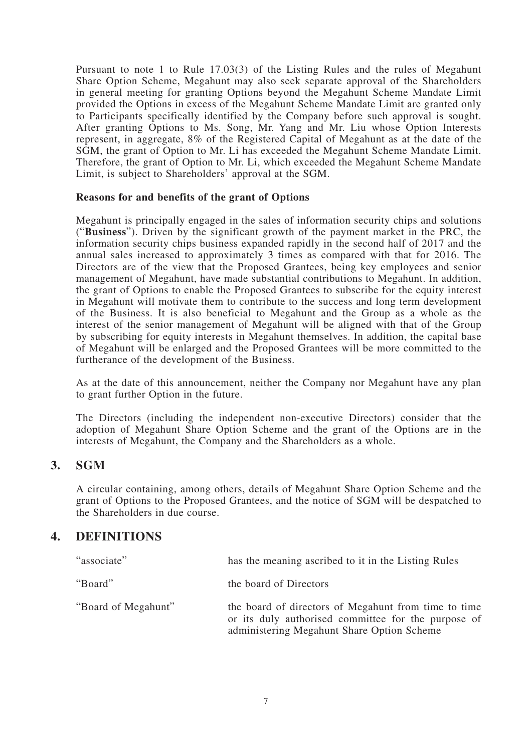Pursuant to note 1 to Rule 17.03(3) of the Listing Rules and the rules of Megahunt Share Option Scheme, Megahunt may also seek separate approval of the Shareholders in general meeting for granting Options beyond the Megahunt Scheme Mandate Limit provided the Options in excess of the Megahunt Scheme Mandate Limit are granted only to Participants specifically identified by the Company before such approval is sought. After granting Options to Ms. Song, Mr. Yang and Mr. Liu whose Option Interests represent, in aggregate, 8% of the Registered Capital of Megahunt as at the date of the SGM, the grant of Option to Mr. Li has exceeded the Megahunt Scheme Mandate Limit. Therefore, the grant of Option to Mr. Li, which exceeded the Megahunt Scheme Mandate Limit, is subject to Shareholders' approval at the SGM.

#### **Reasons for and benefits of the grant of Options**

Megahunt is principally engaged in the sales of information security chips and solutions ("**Business**"). Driven by the significant growth of the payment market in the PRC, the information security chips business expanded rapidly in the second half of 2017 and the annual sales increased to approximately 3 times as compared with that for 2016. The Directors are of the view that the Proposed Grantees, being key employees and senior management of Megahunt, have made substantial contributions to Megahunt. In addition, the grant of Options to enable the Proposed Grantees to subscribe for the equity interest in Megahunt will motivate them to contribute to the success and long term development of the Business. It is also beneficial to Megahunt and the Group as a whole as the interest of the senior management of Megahunt will be aligned with that of the Group by subscribing for equity interests in Megahunt themselves. In addition, the capital base of Megahunt will be enlarged and the Proposed Grantees will be more committed to the furtherance of the development of the Business.

As at the date of this announcement, neither the Company nor Megahunt have any plan to grant further Option in the future.

The Directors (including the independent non-executive Directors) consider that the adoption of Megahunt Share Option Scheme and the grant of the Options are in the interests of Megahunt, the Company and the Shareholders as a whole.

### **3. SGM**

A circular containing, among others, details of Megahunt Share Option Scheme and the grant of Options to the Proposed Grantees, and the notice of SGM will be despatched to the Shareholders in due course.

## **4. DEFINITIONS**

| "associate"         | has the meaning ascribed to it in the Listing Rules                                                                                                       |
|---------------------|-----------------------------------------------------------------------------------------------------------------------------------------------------------|
| "Board"             | the board of Directors                                                                                                                                    |
| "Board of Megahunt" | the board of directors of Megahunt from time to time<br>or its duly authorised committee for the purpose of<br>administering Megahunt Share Option Scheme |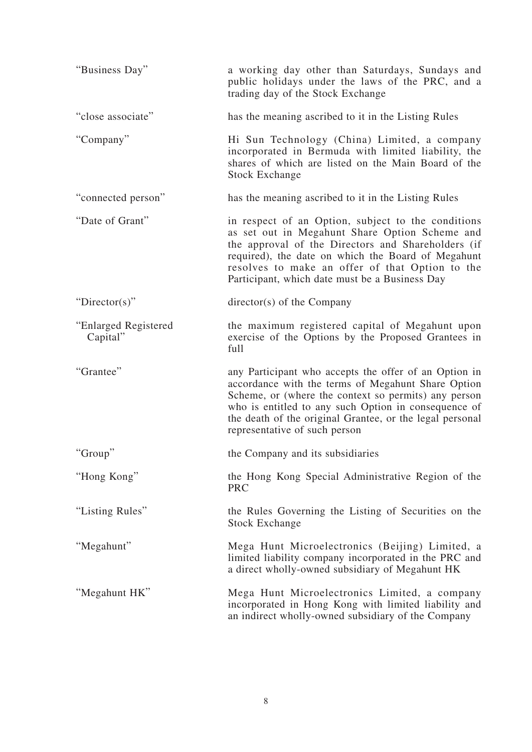| "Business Day"                   | a working day other than Saturdays, Sundays and<br>public holidays under the laws of the PRC, and a<br>trading day of the Stock Exchange                                                                                                                                                                                 |
|----------------------------------|--------------------------------------------------------------------------------------------------------------------------------------------------------------------------------------------------------------------------------------------------------------------------------------------------------------------------|
| "close associate"                | has the meaning ascribed to it in the Listing Rules                                                                                                                                                                                                                                                                      |
| "Company"                        | Hi Sun Technology (China) Limited, a company<br>incorporated in Bermuda with limited liability, the<br>shares of which are listed on the Main Board of the<br><b>Stock Exchange</b>                                                                                                                                      |
| "connected person"               | has the meaning ascribed to it in the Listing Rules                                                                                                                                                                                                                                                                      |
| "Date of Grant"                  | in respect of an Option, subject to the conditions<br>as set out in Megahunt Share Option Scheme and<br>the approval of the Directors and Shareholders (if<br>required), the date on which the Board of Megahunt<br>resolves to make an offer of that Option to the<br>Participant, which date must be a Business Day    |
| "Director(s)"                    | director(s) of the Company                                                                                                                                                                                                                                                                                               |
| "Enlarged Registered<br>Capital" | the maximum registered capital of Megahunt upon<br>exercise of the Options by the Proposed Grantees in<br>full                                                                                                                                                                                                           |
| "Grantee"                        | any Participant who accepts the offer of an Option in<br>accordance with the terms of Megahunt Share Option<br>Scheme, or (where the context so permits) any person<br>who is entitled to any such Option in consequence of<br>the death of the original Grantee, or the legal personal<br>representative of such person |
| "Group"                          | the Company and its subsidiaries                                                                                                                                                                                                                                                                                         |
| "Hong Kong"                      | the Hong Kong Special Administrative Region of the<br><b>PRC</b>                                                                                                                                                                                                                                                         |
| "Listing Rules"                  | the Rules Governing the Listing of Securities on the<br><b>Stock Exchange</b>                                                                                                                                                                                                                                            |
| "Megahunt"                       | Mega Hunt Microelectronics (Beijing) Limited, a<br>limited liability company incorporated in the PRC and<br>a direct wholly-owned subsidiary of Megahunt HK                                                                                                                                                              |
| "Megahunt HK"                    | Mega Hunt Microelectronics Limited, a company<br>incorporated in Hong Kong with limited liability and<br>an indirect wholly-owned subsidiary of the Company                                                                                                                                                              |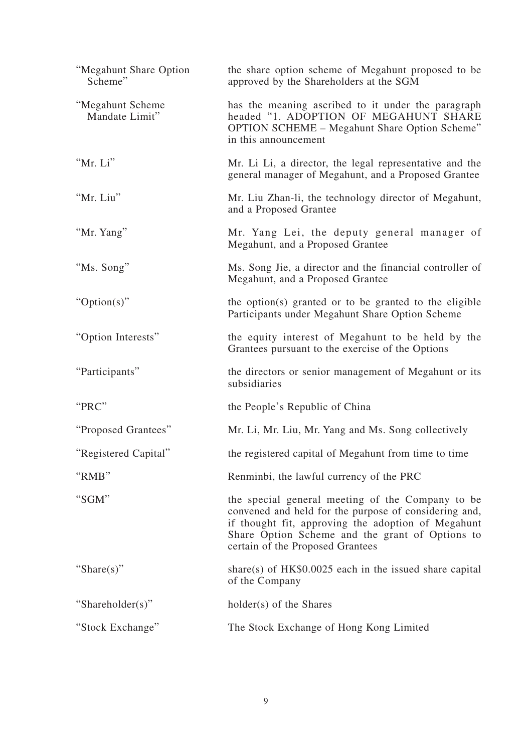| "Megahunt Share Option<br>Scheme"  | the share option scheme of Megahunt proposed to be<br>approved by the Shareholders at the SGM                                                                                                                                                          |
|------------------------------------|--------------------------------------------------------------------------------------------------------------------------------------------------------------------------------------------------------------------------------------------------------|
| "Megahunt Scheme<br>Mandate Limit" | has the meaning ascribed to it under the paragraph<br>headed "1. ADOPTION OF MEGAHUNT SHARE<br><b>OPTION SCHEME – Megahunt Share Option Scheme"</b><br>in this announcement                                                                            |
| "Mr. Li"                           | Mr. Li Li, a director, the legal representative and the<br>general manager of Megahunt, and a Proposed Grantee                                                                                                                                         |
| "Mr. Liu"                          | Mr. Liu Zhan-li, the technology director of Megahunt,<br>and a Proposed Grantee                                                                                                                                                                        |
| "Mr. Yang"                         | Mr. Yang Lei, the deputy general manager of<br>Megahunt, and a Proposed Grantee                                                                                                                                                                        |
| "Ms. Song"                         | Ms. Song Jie, a director and the financial controller of<br>Megahunt, and a Proposed Grantee                                                                                                                                                           |
| " $Option(s)$ "                    | the option(s) granted or to be granted to the eligible<br>Participants under Megahunt Share Option Scheme                                                                                                                                              |
| "Option Interests"                 | the equity interest of Megahunt to be held by the<br>Grantees pursuant to the exercise of the Options                                                                                                                                                  |
| "Participants"                     | the directors or senior management of Megahunt or its<br>subsidiaries                                                                                                                                                                                  |
| "PRC"                              | the People's Republic of China                                                                                                                                                                                                                         |
| "Proposed Grantees"                | Mr. Li, Mr. Liu, Mr. Yang and Ms. Song collectively                                                                                                                                                                                                    |
| "Registered Capital"               | the registered capital of Megahunt from time to time                                                                                                                                                                                                   |
| "RMB"                              | Renminbi, the lawful currency of the PRC                                                                                                                                                                                                               |
| "SGM"                              | the special general meeting of the Company to be<br>convened and held for the purpose of considering and,<br>if thought fit, approving the adoption of Megahunt<br>Share Option Scheme and the grant of Options to<br>certain of the Proposed Grantees |
| "Share(s)"                         | share(s) of $HK$0.0025$ each in the issued share capital<br>of the Company                                                                                                                                                                             |
| "Shareholder(s)"                   | holder(s) of the Shares                                                                                                                                                                                                                                |
| "Stock Exchange"                   | The Stock Exchange of Hong Kong Limited                                                                                                                                                                                                                |